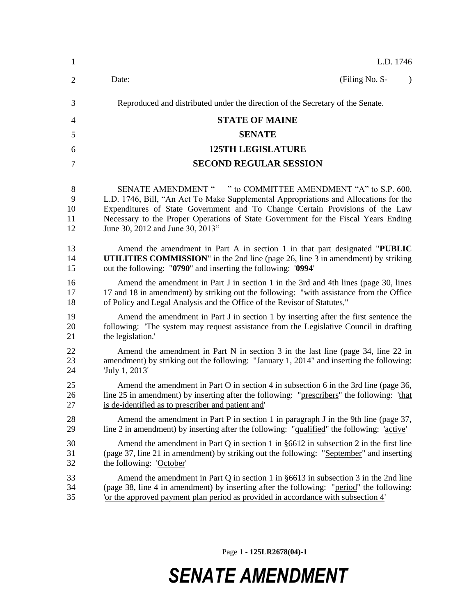| 1  | L.D. 1746                                                                                  |
|----|--------------------------------------------------------------------------------------------|
| 2  | (Filing No. S-<br>Date:<br>$\lambda$                                                       |
| 3  | Reproduced and distributed under the direction of the Secretary of the Senate.             |
| 4  | <b>STATE OF MAINE</b>                                                                      |
| 5  | <b>SENATE</b>                                                                              |
| 6  | <b>125TH LEGISLATURE</b>                                                                   |
| 7  | <b>SECOND REGULAR SESSION</b>                                                              |
| 8  | SENATE AMENDMENT " " to COMMITTEE AMENDMENT "A" to S.P. 600,                               |
| 9  | L.D. 1746, Bill, "An Act To Make Supplemental Appropriations and Allocations for the       |
| 10 | Expenditures of State Government and To Change Certain Provisions of the Law               |
| 11 | Necessary to the Proper Operations of State Government for the Fiscal Years Ending         |
| 12 | June 30, 2012 and June 30, 2013"                                                           |
| 13 | Amend the amendment in Part A in section 1 in that part designated "PUBLIC"                |
| 14 | <b>UTILITIES COMMISSION</b> " in the 2nd line (page 26, line 3 in amendment) by striking   |
| 15 | out the following: "0790" and inserting the following: '0994'                              |
| 16 | Amend the amendment in Part J in section 1 in the 3rd and 4th lines (page 30, lines        |
| 17 | 17 and 18 in amendment) by striking out the following: "with assistance from the Office    |
| 18 | of Policy and Legal Analysis and the Office of the Revisor of Statutes,"                   |
| 19 | Amend the amendment in Part J in section 1 by inserting after the first sentence the       |
| 20 | following: 'The system may request assistance from the Legislative Council in drafting     |
| 21 | the legislation.'                                                                          |
| 22 | Amend the amendment in Part N in section 3 in the last line (page 34, line 22 in           |
| 23 | amendment) by striking out the following: "January 1, 2014" and inserting the following:   |
| 24 | 'July 1, 2013'                                                                             |
| 25 | Amend the amendment in Part O in section 4 in subsection 6 in the 3rd line (page 36,       |
| 26 | line 25 in amendment) by inserting after the following: "prescribers" the following: 'that |
| 27 | is de-identified as to prescriber and patient and'                                         |
| 28 | Amend the amendment in Part P in section 1 in paragraph J in the 9th line (page 37,        |
| 29 | line 2 in amendment) by inserting after the following: "qualified" the following: 'active' |
| 30 | Amend the amendment in Part Q in section 1 in $\S 6612$ in subsection 2 in the first line  |
| 31 | (page 37, line 21 in amendment) by striking out the following: "September" and inserting   |
| 32 | the following: 'October'                                                                   |
| 33 | Amend the amendment in Part Q in section 1 in $\S 6613$ in subsection 3 in the 2nd line    |
| 34 | (page 38, line 4 in amendment) by inserting after the following: "period" the following:   |
| 35 | or the approved payment plan period as provided in accordance with subsection 4'           |

Page 1 **- 125LR2678(04)-1**

## *SENATE AMENDMENT*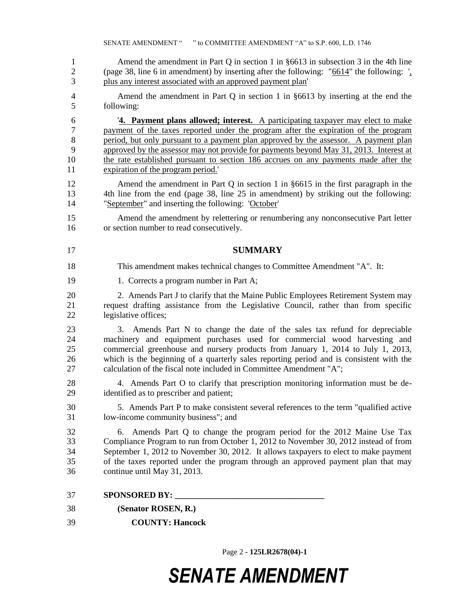|                                     | SENATE AMENDMENT " " to COMMITTEE AMENDMENT "A" to S.P. 600, L.D. 1746                                                                                                                                                                                                                                                                                                                                                                                                               |
|-------------------------------------|--------------------------------------------------------------------------------------------------------------------------------------------------------------------------------------------------------------------------------------------------------------------------------------------------------------------------------------------------------------------------------------------------------------------------------------------------------------------------------------|
| $\mathbf{1}$<br>$\overline{c}$<br>3 | Amend the amendment in Part Q in section 1 in $§6613$ in subsection 3 in the 4th line<br>(page 38, line 6 in amendment) by inserting after the following: " $\underline{6614}$ " the following: $\frac{1}{4}$ "<br>plus any interest associated with an approved payment plan'                                                                                                                                                                                                       |
| 4<br>5                              | Amend the amendment in Part Q in section 1 in $§6613$ by inserting at the end the<br>following:                                                                                                                                                                                                                                                                                                                                                                                      |
| 6<br>7<br>$8\,$<br>9<br>10<br>11    | 4. Payment plans allowed; interest. A participating taxpayer may elect to make<br>payment of the taxes reported under the program after the expiration of the program<br>period, but only pursuant to a payment plan approved by the assessor. A payment plan<br>approved by the assessor may not provide for payments beyond May 31, 2013. Interest at<br>the rate established pursuant to section 186 accrues on any payments made after the<br>expiration of the program period." |
| 12<br>13<br>14                      | Amend the amendment in Part Q in section 1 in $§6615$ in the first paragraph in the<br>4th line from the end (page 38, line 25 in amendment) by striking out the following:<br>"September" and inserting the following: 'October'                                                                                                                                                                                                                                                    |
| 15<br>16                            | Amend the amendment by relettering or renumbering any nonconsecutive Part letter<br>or section number to read consecutively.                                                                                                                                                                                                                                                                                                                                                         |
| 17                                  | <b>SUMMARY</b>                                                                                                                                                                                                                                                                                                                                                                                                                                                                       |
| 18                                  | This amendment makes technical changes to Committee Amendment "A". It:                                                                                                                                                                                                                                                                                                                                                                                                               |
| 19                                  | 1. Corrects a program number in Part A;                                                                                                                                                                                                                                                                                                                                                                                                                                              |
| 20<br>21<br>22                      | 2. Amends Part J to clarify that the Maine Public Employees Retirement System may<br>request drafting assistance from the Legislative Council, rather than from specific<br>legislative offices;                                                                                                                                                                                                                                                                                     |
| 23<br>24<br>25<br>26<br>27          | Amends Part N to change the date of the sales tax refund for depreciable<br>3.<br>machinery and equipment purchases used for commercial wood harvesting and<br>commercial greenhouse and nursery products from January 1, 2014 to July 1, 2013,<br>which is the beginning of a quarterly sales reporting period and is consistent with the<br>calculation of the fiscal note included in Committee Amendment "A";                                                                    |
| 28<br>29                            | 4. Amends Part O to clarify that prescription monitoring information must be de-<br>identified as to prescriber and patient;                                                                                                                                                                                                                                                                                                                                                         |
| 30<br>31                            | 5. Amends Part P to make consistent several references to the term "qualified active"<br>low-income community business"; and                                                                                                                                                                                                                                                                                                                                                         |
| 32<br>33<br>34<br>35<br>36          | Amends Part Q to change the program period for the 2012 Maine Use Tax<br>6.<br>Compliance Program to run from October 1, 2012 to November 30, 2012 instead of from<br>September 1, 2012 to November 30, 2012. It allows taxpayers to elect to make payment<br>of the taxes reported under the program through an approved payment plan that may<br>continue until May 31, 2013.                                                                                                      |
| 37                                  |                                                                                                                                                                                                                                                                                                                                                                                                                                                                                      |
| 38                                  |                                                                                                                                                                                                                                                                                                                                                                                                                                                                                      |
|                                     | (Senator ROSEN, R.)                                                                                                                                                                                                                                                                                                                                                                                                                                                                  |

Page 2 **- 125LR2678(04)-1**

## *SENATE AMENDMENT*